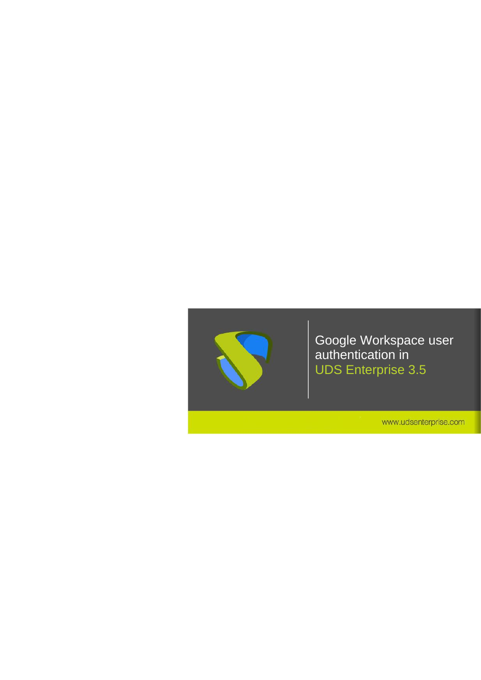

www.udsenterprise.com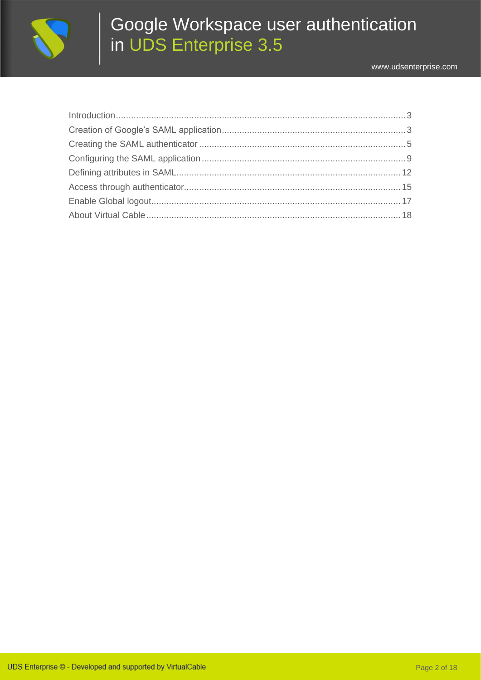

www.udsenterprise.com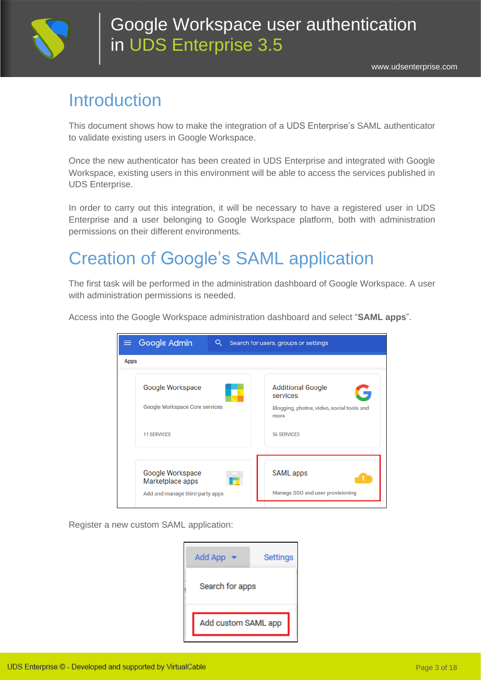

#### <span id="page-2-0"></span>**Introduction**

This document shows how to make the integration of a UDS Enterprise's SAML authenticator to validate existing users in Google Workspace.

Once the new authenticator has been created in UDS Enterprise and integrated with Google Workspace, existing users in this environment will be able to access the services published in UDS Enterprise.

In order to carry out this integration, it will be necessary to have a registered user in UDS Enterprise and a user belonging to Google Workspace platform, both with administration permissions on their different environments.

# <span id="page-2-1"></span>Creation of Google's SAML application

The first task will be performed in the administration dashboard of Google Workspace. A user with administration permissions is needed.

Access into the Google Workspace administration dashboard and select "**SAML apps**".

| $\equiv$ Google Admin<br>Q.          | Search for users, groups or settings              |
|--------------------------------------|---------------------------------------------------|
| <b>Apps</b>                          |                                                   |
| Google Workspace                     | <b>Additional Google</b><br>services              |
| Google Workspace Core services       | Blogging, photos, video, social tools and<br>more |
| <b>11 SERVICES</b>                   | <b>56 SERVICES</b>                                |
|                                      |                                                   |
| Google Workspace<br>Marketplace apps | <b>SAML</b> apps                                  |
| Add and manage third-party apps      | Manage SSO and user provisioning                  |

Register a new custom SAML application:

| <b>Add App</b>      | <b>Settings</b> |
|---------------------|-----------------|
| Search for apps     |                 |
| Add custom SAML app |                 |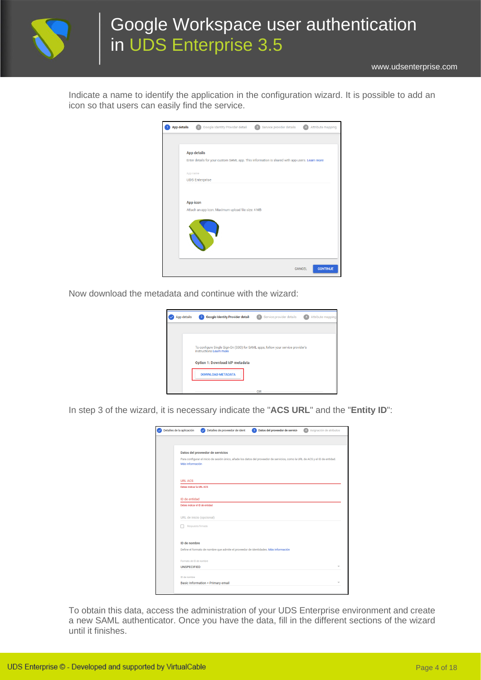

[www.udsenterprise.com](http://www.udsenterprise.com/)

Indicate a name to identify the application in the configuration wizard. It is possible to add an icon so that users can easily find the service.

| <b>App details</b> | Google Identity Provider detail:<br>Service provider details<br>Attribute mapping             |
|--------------------|-----------------------------------------------------------------------------------------------|
|                    |                                                                                               |
|                    | <b>App details</b>                                                                            |
|                    | Enter details for your custom SAML app. This information is shared with app users. Learn more |
|                    | App name                                                                                      |
|                    | <b>UDS Enterprise</b>                                                                         |
|                    |                                                                                               |
|                    | App icon                                                                                      |
|                    | Attach an app icon. Maximum upload file size: 4 MB                                            |
|                    |                                                                                               |
|                    |                                                                                               |
|                    |                                                                                               |
|                    |                                                                                               |
|                    |                                                                                               |
|                    | <b>CONTINUE</b><br><b>CANCEL</b>                                                              |

Now download the metadata and continue with the wizard:

| App details | <b>Google Identity Provider detail:</b><br>$\overline{2}$                                                  | Service provider details | Attribute mapping |
|-------------|------------------------------------------------------------------------------------------------------------|--------------------------|-------------------|
|             |                                                                                                            |                          |                   |
|             | To configure Single Sign-On (SSO) for SAML apps, follow your service provider's<br>instructions Learn more |                          |                   |
|             | Option 1: Download IdP metadata                                                                            |                          |                   |
|             | <b>DOWNLOAD METADATA</b>                                                                                   |                          |                   |
|             |                                                                                                            | OR                       |                   |

In step 3 of the wizard, it is necessary indicate the "**ACS URL**" and the "**Entity ID**":

| Detalles de la aplicación      | Detalles de proveedor de ident<br>3 Datos del proveedor de servicio<br>Asignación de atributos<br>$\checkmark$                |
|--------------------------------|-------------------------------------------------------------------------------------------------------------------------------|
|                                |                                                                                                                               |
|                                | Datos del proveedor de servicios                                                                                              |
| Más información                | Para configurar el inicio de sesión único, añade los datos del proveedor de servicios, como la URL de ACS y el ID de entidad. |
| <b>URL ACS</b>                 |                                                                                                                               |
| Debes indicar la URL ACS       |                                                                                                                               |
| ID de entidad                  |                                                                                                                               |
| Debes indicar el ID de entidad |                                                                                                                               |
|                                | URL de inicio (opcional)                                                                                                      |
|                                | Respuesta firmada                                                                                                             |
|                                |                                                                                                                               |
| ID de nombre                   |                                                                                                                               |
|                                | Define el formato de nombre que admite el proveedor de identidades. Más información                                           |
| Formato de ID de nombre        |                                                                                                                               |
| <b>UNSPECIFIED</b>             |                                                                                                                               |
|                                |                                                                                                                               |
| ID de nombre                   |                                                                                                                               |

To obtain this data, access the administration of your UDS Enterprise environment and create a new SAML authenticator. Once you have the data, fill in the different sections of the wizard until it finishes.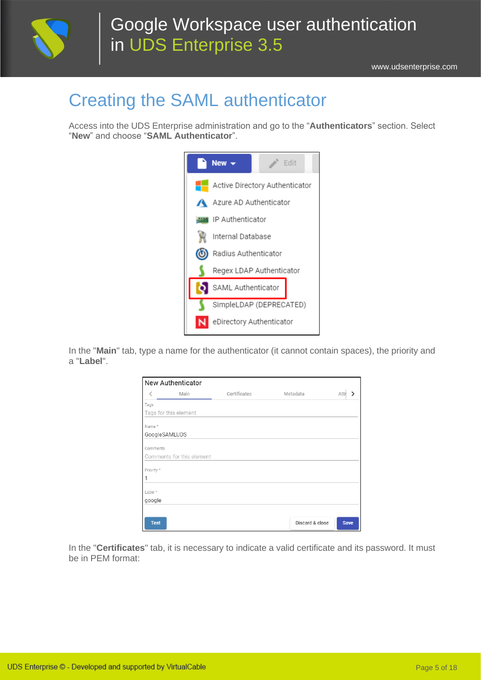

# <span id="page-4-0"></span>Creating the SAML authenticator

Access into the UDS Enterprise administration and go to the "**Authenticators**" section. Select "**New**" and choose "**SAML Authenticator**".



In the "**Main**" tab, type a name for the authenticator (it cannot contain spaces), the priority and a "**Label**".

|             | <b>New Authenticator</b>  |              |                 |             |
|-------------|---------------------------|--------------|-----------------|-------------|
| ✓           | Main                      | Certificates | Metadata        | Attr        |
| Tags        |                           |              |                 |             |
|             | Tags for this element     |              |                 |             |
| Name*       |                           |              |                 |             |
|             | GoogleSAMLUDS             |              |                 |             |
| Comments    |                           |              |                 |             |
|             | Comments for this element |              |                 |             |
| Priority *  |                           |              |                 |             |
|             |                           |              |                 |             |
| Label *     |                           |              |                 |             |
| google      |                           |              |                 |             |
|             |                           |              |                 |             |
| <b>Test</b> |                           |              | Discard & close | <b>Save</b> |

In the "**Certificates**" tab, it is necessary to indicate a valid certificate and its password. It must be in PEM format: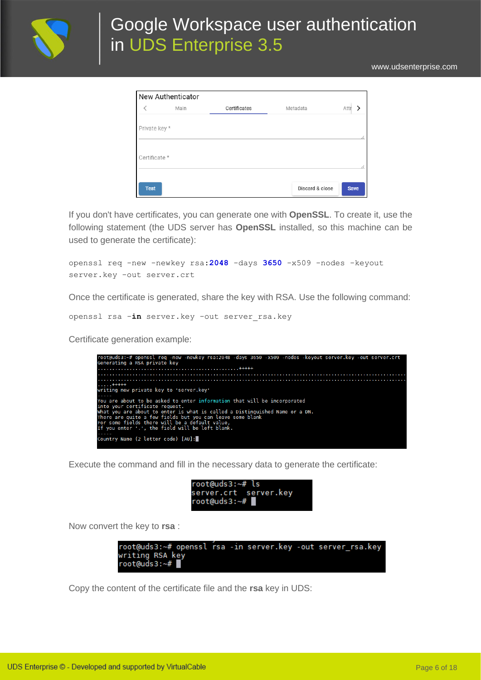

[www.udsenterprise.com](http://www.udsenterprise.com/)

| <b>New Authenticator</b> |      |              |                 |             |
|--------------------------|------|--------------|-----------------|-------------|
|                          | Main | Certificates | Metadata        | Attr        |
| Private key *            |      |              |                 |             |
| Certificate *            |      |              |                 | //          |
| <b>Test</b>              |      |              | Discard & close | <b>Save</b> |

If you don't have certificates, you can generate one with **OpenSSL**. To create it, use the following statement (the UDS server has **OpenSSL** installed, so this machine can be used to generate the certificate):

openssl req -new -newkey rsa:**2048** -days **3650** -x509 -nodes -keyout server.key -out server.crt

Once the certificate is generated, share the key with RSA. Use the following command:

openssl rsa -**in** server.key -out server\_rsa.key

Certificate generation example:



Execute the command and fill in the necessary data to generate the certificate:

| $root$ @uds3: $~+$ # ls |  |
|-------------------------|--|
| server.crt server.key   |  |
| root@uds3:~#            |  |

Now convert the key to **rsa** :



Copy the content of the certificate file and the **rsa** key in UDS: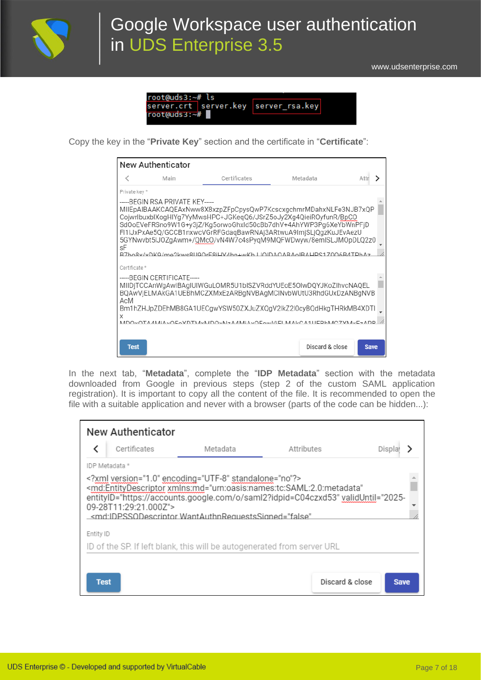

[www.udsenterprise.com](http://www.udsenterprise.com/)

| root@uds3:~#ls                       |  |
|--------------------------------------|--|
| server.crt server.key server_rsa.key |  |
| $root(duds3:-#$                      |  |

Copy the key in the "**Private Key**" section and the certificate in "**Certificate**":

|               | <b>New Authenticator</b>        |                                                                                                                                                                                                                                                                                                                                                                                                                      |                 |             |  |
|---------------|---------------------------------|----------------------------------------------------------------------------------------------------------------------------------------------------------------------------------------------------------------------------------------------------------------------------------------------------------------------------------------------------------------------------------------------------------------------|-----------------|-------------|--|
|               | Main                            | Certificates                                                                                                                                                                                                                                                                                                                                                                                                         | Metadata        | Attr        |  |
| Private kev * |                                 |                                                                                                                                                                                                                                                                                                                                                                                                                      |                 |             |  |
| sF            | -----BEGIN RSA PRIVATE KEY----- | MIIEpAIBAAKCAQEAxNww8X8xzpZFpCpysQwP7KcscxgchmrMDahxNLFe3NJB7xQP<br>CojwrlbuxblXogHlYq7YyMwsHPC+JGKeqQ6/JSrZ5oJy2Xq4QieiROyfunR/BpCO<br>SdOoEVeFRSno9W1G+y3jZ/Kg5orwoGhxId50cBb7dhV+4AhYWP3Pq6XeYbWnPFjD<br>FI1IJxPxAe5Q/GCCB1nxwcVGrRFGdagBawRNAj3ARtwuA9ImjSLjQgzKuJEvAezU<br>5GYNwybt5IJ0ZqAwm+/QMcO/vN4W7c4sPyqM9MQFWDwyw/8emISLJM0pDLQ2z0<br>B7bo8x/xDKQ/mo2kwc8LIQOrE8iHV/bn+wKbLIQIDAQARAoIRAHDS170Q6R/ITDbAz |                 |             |  |
| Certificate * |                                 |                                                                                                                                                                                                                                                                                                                                                                                                                      |                 |             |  |
| AcM           | -----BEGIN CERTIFICATE-----     | MIIDjTCCAnWgAwIBAqIUIWGuLOMR5U1bISZVRddYUEoE5OIwDQYJKoZIhvcNAQEL<br>BQAwVjELMAkGA1UEBhMCZXMxEzARBqNVBAqMCINvbWUtU3RhdGUxDzANBqNVB                                                                                                                                                                                                                                                                                    |                 |             |  |
|               |                                 | Bm1hZHJpZDEhMB8GA1UECqwYSW50ZXJuZXQqV2lkZ2l0cyBQdHkqTHRkMB4XDTI                                                                                                                                                                                                                                                                                                                                                      |                 |             |  |
| Χ             |                                 | MDOvOTA AMIA vOEAVDTM vMDOvN-2 AMIA vOEAvA/IEL MAI/CA1HEDHMCZVM vE-ADD                                                                                                                                                                                                                                                                                                                                               |                 |             |  |
| <b>Test</b>   |                                 |                                                                                                                                                                                                                                                                                                                                                                                                                      | Discard & close | <b>Save</b> |  |

In the next tab, "**Metadata**", complete the "**IDP Metadata**" section with the metadata downloaded from Google in previous steps (step 2 of the custom SAML application registration). It is important to copy all the content of the file. It is recommended to open the file with a suitable application and never with a browser (parts of the code can be hidden...):

|           | <b>New Authenticator</b> |                                                                                                                                                                                                                                           |            |        |
|-----------|--------------------------|-------------------------------------------------------------------------------------------------------------------------------------------------------------------------------------------------------------------------------------------|------------|--------|
|           | Certificates             | Metadata                                                                                                                                                                                                                                  | Attributes | Displa |
|           | IDP Metadata *           |                                                                                                                                                                                                                                           |            |        |
|           | 09-28T11:29:21.000Z">    | xml version="1.0" encoding="UTF-8" standalone="no"?<br><md:entitydescriptor <br="" xmlns:md="urn:oasis:names:tc:SAML:2.0:metadata">entitylD="https://accounts.google.com/o/saml2?idpid=C04czxd53" validUntil="2025-</md:entitydescriptor> |            |        |
|           |                          | <md:idpssodescriptor <="" td="" wantauthnrequestssigned="false"><td></td><td></td></md:idpssodescriptor>                                                                                                                                  |            |        |
| Entity ID |                          |                                                                                                                                                                                                                                           |            |        |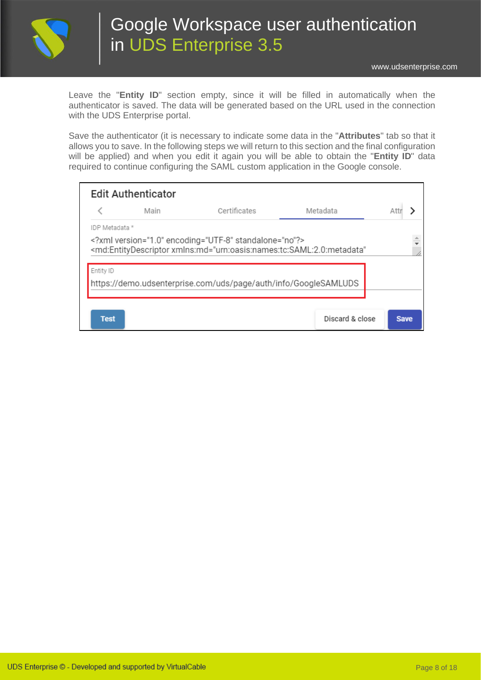

Leave the "**Entity ID**" section empty, since it will be filled in automatically when the authenticator is saved. The data will be generated based on the URL used in the connection with the UDS Enterprise portal.

Save the authenticator (it is necessary to indicate some data in the "**Attributes**" tab so that it allows you to save. In the following steps we will return to this section and the final configuration will be applied) and when you edit it again you will be able to obtain the "**Entity ID**" data required to continue configuring the SAML custom application in the Google console.

|                | <b>Edit Authenticator</b> |                                                                                                                                                                                 |          |  |
|----------------|---------------------------|---------------------------------------------------------------------------------------------------------------------------------------------------------------------------------|----------|--|
|                | Main                      | Certificates                                                                                                                                                                    | Metadata |  |
| IDP Metadata * |                           |                                                                                                                                                                                 |          |  |
|                |                           | xml version="1.0" encoding="UTF-8" standalone="no"?<br><md:entitydescriptor <="" td="" xmlns:md="urn:oasis:names:tc:SAML:2.0:metadata"><td></td><td></td></md:entitydescriptor> |          |  |
| Entity ID      |                           |                                                                                                                                                                                 |          |  |
|                |                           | https://demo.udsenterprise.com/uds/page/auth/info/GoogleSAMLUDS                                                                                                                 |          |  |
|                |                           |                                                                                                                                                                                 |          |  |
|                |                           |                                                                                                                                                                                 |          |  |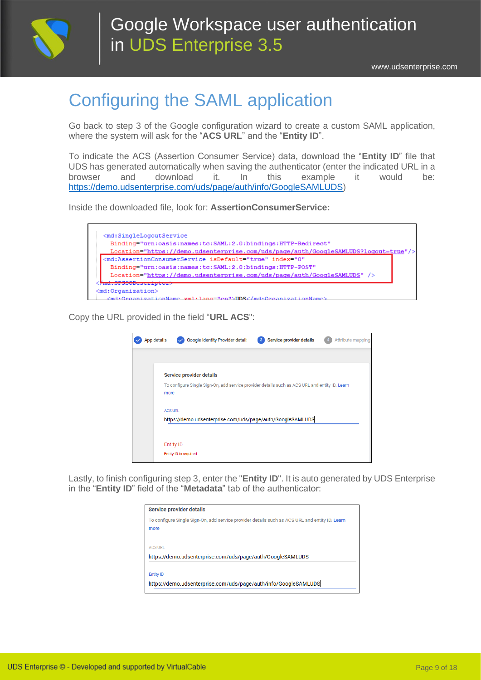

# <span id="page-8-0"></span>Configuring the SAML application

Go back to step 3 of the Google configuration wizard to create a custom SAML application, where the system will ask for the "**ACS URL**" and the "**Entity ID**".

To indicate the ACS (Assertion Consumer Service) data, download the "**Entity ID**" file that UDS has generated automatically when saving the authenticator (enter the indicated URL in a browser and download it. In this example it would be: [https://demo.udsenterprise.com/uds/page/auth/info/GoogleSAMLUDS\)](https://demo.udsenterprise.com/uds/page/auth/info/GoogleSAMLUDS)

Inside the downloaded file, look for: **AssertionConsumerService:**

| <md:singlelogoutservice<br>Binding="urn:oasis:names:tc:SAML:2.0:bindings:HTTP-Redirect"</md:singlelogoutservice<br> |
|---------------------------------------------------------------------------------------------------------------------|
| Location="https://demo.udsenterprise.com/uds/page/auth/GoogleSAMLUDS?logout=true"/>                                 |
| <md:assertionconsumerservice <="" index="0" isdefault="true" td=""></md:assertionconsumerservice>                   |
| Binding="urn:oasis:names:tc:SAML:2.0:bindings:HTTP-POST"                                                            |
| Location="https://demo.udsenterprise.com/uds/page/auth/GoogleSAMLUDS" />                                            |
|                                                                                                                     |

Copy the URL provided in the field "**URL ACS**":

| App details |                       | Google Identity Provider detail:                                                               | $\overline{\mathbf{3}}$ | Service provider details | Attribute mapping |  |
|-------------|-----------------------|------------------------------------------------------------------------------------------------|-------------------------|--------------------------|-------------------|--|
|             |                       |                                                                                                |                         |                          |                   |  |
|             |                       | Service provider details                                                                       |                         |                          |                   |  |
|             | more                  | To configure Single Sign-On, add service provider details such as ACS URL and entity ID. Learn |                         |                          |                   |  |
|             | <b>ACS URL</b>        |                                                                                                |                         |                          |                   |  |
|             |                       | https://demo.udsenterprise.com/uds/page/auth/GoogleSAMLUDS                                     |                         |                          |                   |  |
|             |                       |                                                                                                |                         |                          |                   |  |
|             | <b>Entity ID</b>      |                                                                                                |                         |                          |                   |  |
|             | Entity ID is required |                                                                                                |                         |                          |                   |  |

Lastly, to finish configuring step 3, enter the "**Entity ID**". It is auto generated by UDS Enterprise in the "**Entity ID**" field of the "**Metadata**" tab of the authenticator:

| <b>Service provider details</b>                                                                        |
|--------------------------------------------------------------------------------------------------------|
| To configure Single Sign-On, add service provider details such as ACS URL and entity ID. Learn<br>more |
| <b>ACS URL</b><br>https://demo.udsenterprise.com/uds/page/auth/GoogleSAMLUDS                           |
| <b>Entity ID</b><br>https://demo.udsenterprise.com/uds/page/auth/info/GoogleSAMLUDS                    |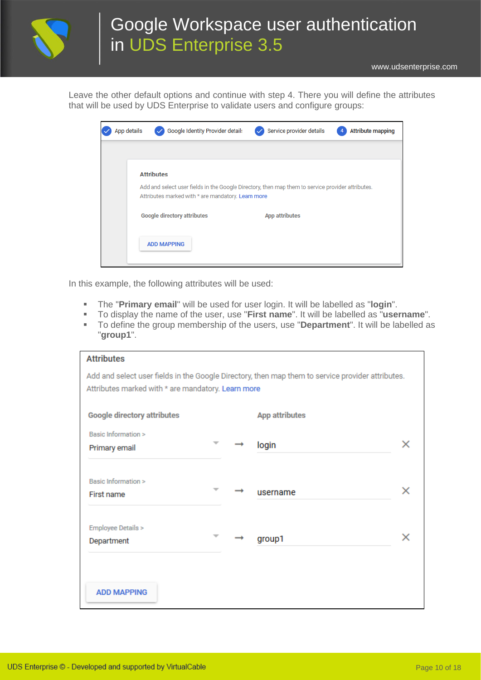

[www.udsenterprise.com](http://www.udsenterprise.com/)

Leave the other default options and continue with step 4. There you will define the attributes that will be used by UDS Enterprise to validate users and configure groups:

| App details       | Google Identity Provider detail:   |                                                    | Service provider details                                                                          | <b>Attribute mapping</b> |
|-------------------|------------------------------------|----------------------------------------------------|---------------------------------------------------------------------------------------------------|--------------------------|
|                   |                                    |                                                    |                                                                                                   |                          |
| <b>Attributes</b> |                                    |                                                    |                                                                                                   |                          |
|                   |                                    | Attributes marked with * are mandatory. Learn more | Add and select user fields in the Google Directory, then map them to service provider attributes. |                          |
|                   | <b>Google directory attributes</b> |                                                    | <b>App attributes</b>                                                                             |                          |
|                   | <b>ADD MAPPING</b>                 |                                                    |                                                                                                   |                          |

In this example, the following attributes will be used:

- The "**Primary email**" will be used for user login. It will be labelled as "**login**".
- To display the name of the user, use "**First name**". It will be labelled as "**username**".
- To define the group membership of the users, use "**Department**". It will be labelled as "**group1**".

| <b>Attributes</b>                                  |               |                                                                                                   |   |
|----------------------------------------------------|---------------|---------------------------------------------------------------------------------------------------|---|
|                                                    |               | Add and select user fields in the Google Directory, then map them to service provider attributes. |   |
| Attributes marked with * are mandatory. Learn more |               |                                                                                                   |   |
|                                                    |               |                                                                                                   |   |
| <b>Google directory attributes</b>                 |               | <b>App attributes</b>                                                                             |   |
|                                                    |               |                                                                                                   |   |
| Basic Information >                                | $\rightarrow$ |                                                                                                   | x |
| Primary email                                      |               | login                                                                                             |   |
|                                                    |               |                                                                                                   |   |
| Basic Information >                                |               |                                                                                                   |   |
| First name                                         |               | username                                                                                          | × |
|                                                    |               |                                                                                                   |   |
|                                                    |               |                                                                                                   |   |
| Employee Details >                                 |               |                                                                                                   |   |
| Department                                         |               | group1                                                                                            | × |
|                                                    |               |                                                                                                   |   |
|                                                    |               |                                                                                                   |   |
|                                                    |               |                                                                                                   |   |
| <b>ADD MAPPING</b>                                 |               |                                                                                                   |   |
|                                                    |               |                                                                                                   |   |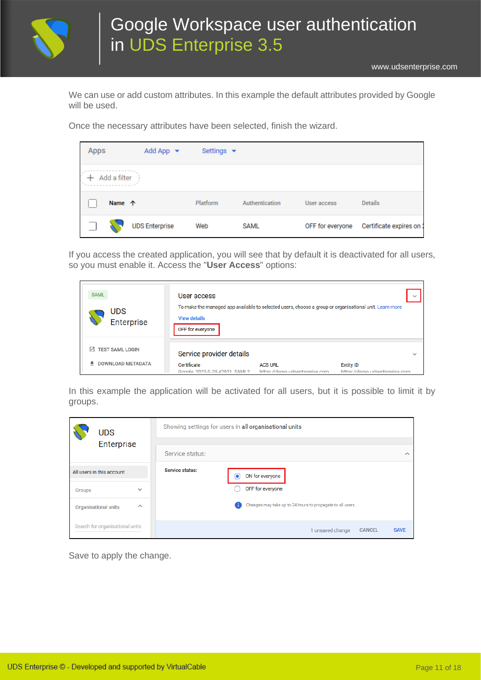

We can use or add custom attributes. In this example the default attributes provided by Google will be used.

Once the necessary attributes have been selected, finish the wizard.

| <b>Apps</b> |              | Add App $\rightarrow$ | Settings $\blacktriangleright$ |                |                  |                         |
|-------------|--------------|-----------------------|--------------------------------|----------------|------------------|-------------------------|
|             | Add a filter |                       |                                |                |                  |                         |
|             | Name 个       |                       | Platform                       | Authentication | User access      | <b>Details</b>          |
|             |              | <b>UDS Enterprise</b> | Web                            | <b>SAML</b>    | OFF for everyone | Certificate expires on: |

If you access the created application, you will see that by default it is deactivated for all users, so you must enable it. Access the "**User Access**" options:

| <b>SAML</b><br><b>UDS</b><br>Enterprise                   | User access<br><b>View details</b><br>OFF for everyone                  | To make the managed app available to selected users, choose a group or organisational unit. Learn more |                                                    |              |
|-----------------------------------------------------------|-------------------------------------------------------------------------|--------------------------------------------------------------------------------------------------------|----------------------------------------------------|--------------|
| <b>TEST SAML LOGIN</b><br>$\sqrt{ }$<br>DOWNLOAD METADATA | Service provider details<br>Certificate<br>Google 2025-9-28-42921 SAML2 | <b>ACS URL</b><br>https://demo.udsenterprise.com                                                       | <b>Entity ID</b><br>https://demo.udsenterprise.com | $\checkmark$ |

In this example the application will be activated for all users, but it is possible to limit it by groups.

| <b>UDS</b> |                                 |              |                        | Showing settings for users in all organisational units           |        |
|------------|---------------------------------|--------------|------------------------|------------------------------------------------------------------|--------|
|            | Enterprise                      |              |                        |                                                                  |        |
|            |                                 |              | Service status:        |                                                                  | $\sim$ |
|            | All users in this account       |              | <b>Service status:</b> | ON for everyone<br>◉                                             |        |
| Groups     |                                 | $\checkmark$ |                        | OFF for everyone                                                 |        |
|            | <b>Organisational units</b>     | $\sim$       |                        | Changes may take up to 24 hours to propagate to all users.<br>n. |        |
|            | Search for organisational units |              |                        | <b>CANCEL</b><br>1 unsaved change<br><b>SAVE</b>                 |        |

Save to apply the change.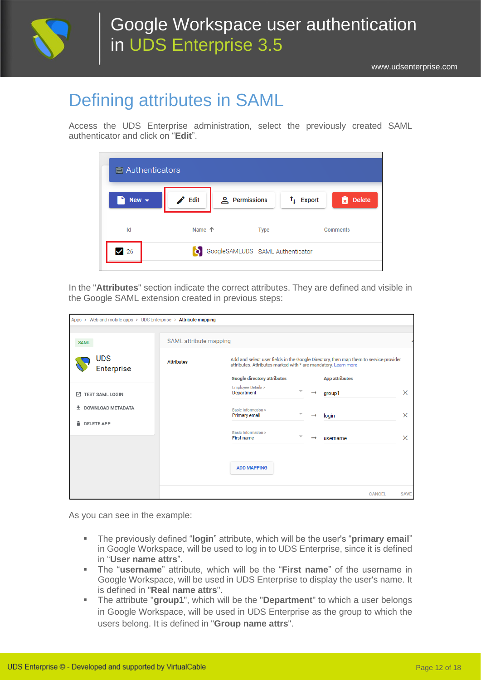

# <span id="page-11-0"></span>Defining attributes in SAML

Access the UDS Enterprise administration, select the previously created SAML authenticator and click on "**Edit**".

| $\Box$ Authenticators    |        |                                  |                                                               |  |  |  |
|--------------------------|--------|----------------------------------|---------------------------------------------------------------|--|--|--|
| New $\blacktriangledown$ | Edit   | <b>A</b> Permissions             | <b>Delete</b><br>$\uparrow$ Export<br>$\overline{\mathbf{x}}$ |  |  |  |
| Id                       | Name 个 | <b>Type</b>                      | Comments                                                      |  |  |  |
| 26                       |        | GoogleSAMLUDS SAML Authenticator |                                                               |  |  |  |

In the "**Attributes**" section indicate the correct attributes. They are defined and visible in the Google SAML extension created in previous steps:

| Apps > Web and mobile apps > UDS Enterprise > Attribute mapping |                        |                                                                                                                                                         |                              |
|-----------------------------------------------------------------|------------------------|---------------------------------------------------------------------------------------------------------------------------------------------------------|------------------------------|
| <b>SAML</b>                                                     | SAML attribute mapping |                                                                                                                                                         |                              |
| <b>UDS</b><br>Enterprise                                        | <b>Attributes</b>      | Add and select user fields in the Google Directory, then map them to service provider<br>attributes. Attributes marked with * are mandatory. Learn more |                              |
|                                                                 |                        | <b>Google directory attributes</b><br><b>App attributes</b>                                                                                             |                              |
| <b>TEST SAML LOGIN</b><br>M                                     |                        | <b>Employee Details &gt;</b><br>Department<br>$\rightarrow$<br>group1                                                                                   | $\times$                     |
| DOWNLOAD METADATA<br>÷                                          |                        | Basic Information ><br>$\overline{\phantom{a}}$<br>Primary email<br>login                                                                               | $\times$                     |
| û<br><b>DELETE APP</b>                                          |                        | Basic Information ><br>First name                                                                                                                       | $\times$                     |
|                                                                 |                        | username                                                                                                                                                |                              |
|                                                                 |                        | <b>ADD MAPPING</b>                                                                                                                                      |                              |
|                                                                 |                        |                                                                                                                                                         | <b>CANCEL</b><br><b>SAVE</b> |

As you can see in the example:

- The previously defined "**login**" attribute, which will be the user's "**primary email**" in Google Workspace, will be used to log in to UDS Enterprise, since it is defined in "**User name attrs**".
- The "**username**" attribute, which will be the "**First name**" of the username in Google Workspace, will be used in UDS Enterprise to display the user's name. It is defined in "**Real name attrs**".
- The attribute "**group1**", which will be the "**Department**" to which a user belongs in Google Workspace, will be used in UDS Enterprise as the group to which the users belong. It is defined in "**Group name attrs**".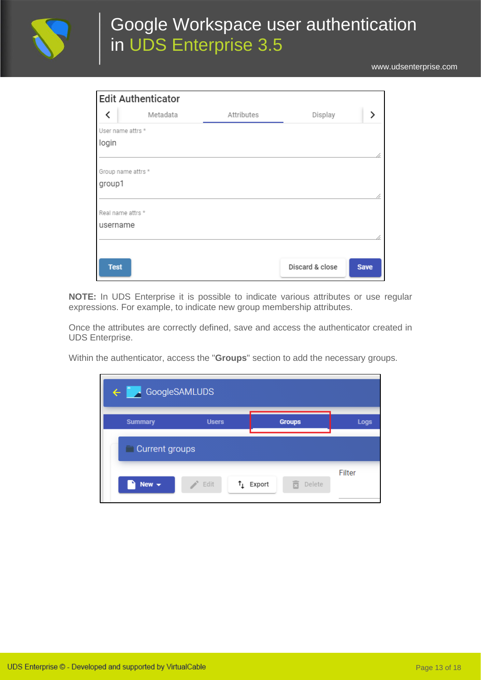

[www.udsenterprise.com](http://www.udsenterprise.com/)

| <b>Edit Authenticator</b> |          |            |                 |             |
|---------------------------|----------|------------|-----------------|-------------|
| ≺                         | Metadata | Attributes | Display         | ゝ           |
| User name attrs *         |          |            |                 |             |
| login                     |          |            |                 |             |
|                           |          |            |                 | í           |
| Group name attrs *        |          |            |                 |             |
| group1                    |          |            |                 |             |
|                           |          |            |                 | h           |
| Real name attrs *         |          |            |                 |             |
| username                  |          |            |                 |             |
|                           |          |            |                 | ı           |
|                           |          |            |                 |             |
| <b>Test</b>               |          |            | Discard & close | <b>Save</b> |

**NOTE:** In UDS Enterprise it is possible to indicate various attributes or use regular expressions. For example, to indicate new group membership attributes.

Once the attributes are correctly defined, save and access the authenticator created in UDS Enterprise.

Within the authenticator, access the "**Groups**" section to add the necessary groups.

| $\leftarrow$ $\blacksquare$ | GoogleSAMLUDS |                             |             |
|-----------------------------|---------------|-----------------------------|-------------|
| <b>Summary</b>              | <b>Users</b>  | <b>Groups</b>               | <b>Logs</b> |
| $\Box$ Current groups       |               |                             |             |
| New $\star$                 | Edit          | Delete<br>$\uparrow$ Export | Filter      |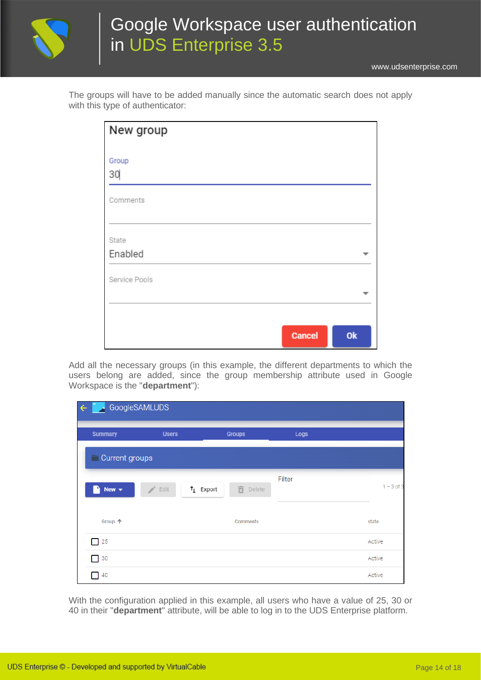

[www.udsenterprise.com](http://www.udsenterprise.com/)

|                                  |  |  |  | The groups will have to be added manually since the automatic search does not apply |  |  |  |
|----------------------------------|--|--|--|-------------------------------------------------------------------------------------|--|--|--|
| with this type of authenticator: |  |  |  |                                                                                     |  |  |  |

| New group        |               |    |
|------------------|---------------|----|
| Group<br>30      |               |    |
| Comments         |               |    |
| State<br>Enabled |               |    |
| Service Pools    |               |    |
|                  | <b>Cancel</b> | Ok |

Add all the necessary groups (in this example, the different departments to which the users belong are added, since the group membership attribute used in Google Workspace is the "**department**"):

| ←               | GoogleSAMLUDS      |                                  |        |              |
|-----------------|--------------------|----------------------------------|--------|--------------|
| <b>Summary</b>  | <b>Users</b>       | <b>Groups</b>                    | Logs   |              |
| Current groups  |                    |                                  |        |              |
| New $\sim$<br>٠ | $\rightarrow$ Edit | 面<br>$\uparrow$ Export<br>Delete | Filter | $1 - 3$ of 3 |
| Group 个         |                    | Comments                         |        | state        |
| $\Box$ 25       |                    |                                  |        | Active       |
| $\Box$ 30       |                    |                                  |        | Active       |
| $\Box$ 40       |                    |                                  |        | Active       |

With the configuration applied in this example, all users who have a value of 25, 30 or 40 in their "**department**" attribute, will be able to log in to the UDS Enterprise platform.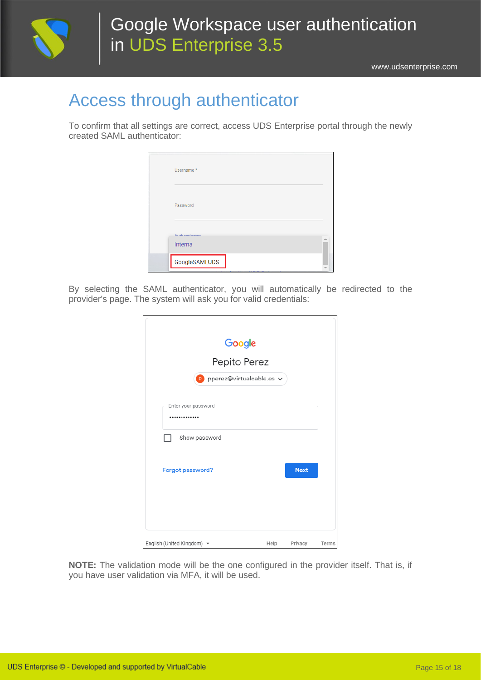

## <span id="page-14-0"></span>Access through authenticator

To confirm that all settings are correct, access UDS Enterprise portal through the newly created SAML authenticator:

| Username*                |               |  |  |
|--------------------------|---------------|--|--|
| Password                 |               |  |  |
| Authanticates<br>Interna |               |  |  |
|                          | GoogleSAMLUDS |  |  |

By selecting the SAML authenticator, you will automatically be redirected to the provider's page. The system will ask you for valid credentials:

| Google                                        |      |             |       |
|-----------------------------------------------|------|-------------|-------|
| Pepito Perez                                  |      |             |       |
| pperez@virtualcable.es v<br>P                 |      |             |       |
| Enter your password<br>                       |      |             |       |
| Show password                                 |      |             |       |
| Forgot password?                              |      | <b>Next</b> |       |
|                                               |      |             |       |
| English (United Kingdom) $\blacktriangledown$ | Help | Privacy     | Terms |

**NOTE:** The validation mode will be the one configured in the provider itself. That is, if you have user validation via MFA, it will be used.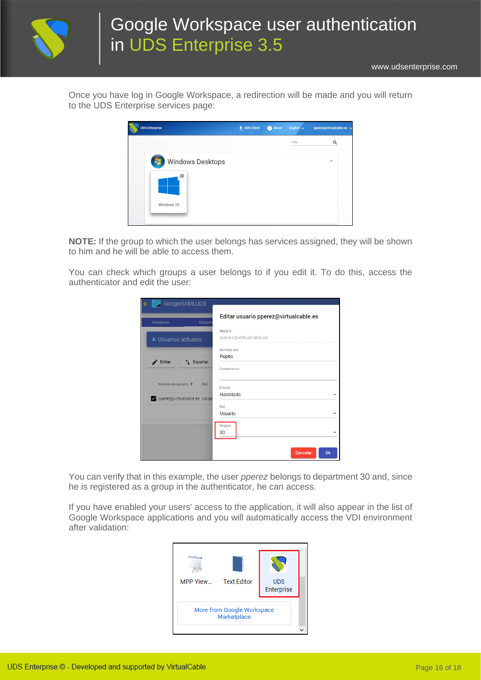

[www.udsenterprise.com](http://www.udsenterprise.com/)

Once you have log in Google Workspace, a redirection will be made and you will return to the UDS Enterprise services page:



**NOTE:** If the group to which the user belongs has services assigned, they will be shown to him and he will be able to access them.

You can check which groups a user belongs to if you edit it. To do this, access the authenticator and edit the user:

| ← GoogleSAMLUDS                     |                                                         |
|-------------------------------------|---------------------------------------------------------|
| Resumen                             | Editar usuario pperez@virtualcable.es<br><b>Usuario</b> |
|                                     | Usuario                                                 |
| Jusuarios actuales                  | pperez@virtualcable.es                                  |
|                                     | Nombre real                                             |
| Editar<br>$t_{\perp}$ Exportar<br>◢ | Pepito                                                  |
|                                     | Comentarios                                             |
| Nombre de usuario 个                 | Rol<br>Estado                                           |
| pperez@virtualcable.es Usuar        | Habilitado                                              |
|                                     | Rol                                                     |
|                                     | Usuario                                                 |
|                                     | Grupos<br>30                                            |
|                                     |                                                         |
|                                     | Ok<br>Cancelar                                          |

You can verify that in this example, the user *pperez* belongs to department 30 and, since he is registered as a group in the authenticator, he can access.

If you have enabled your users' access to the application, it will also appear in the list of Google Workspace applications and you will automatically access the VDI environment after validation:

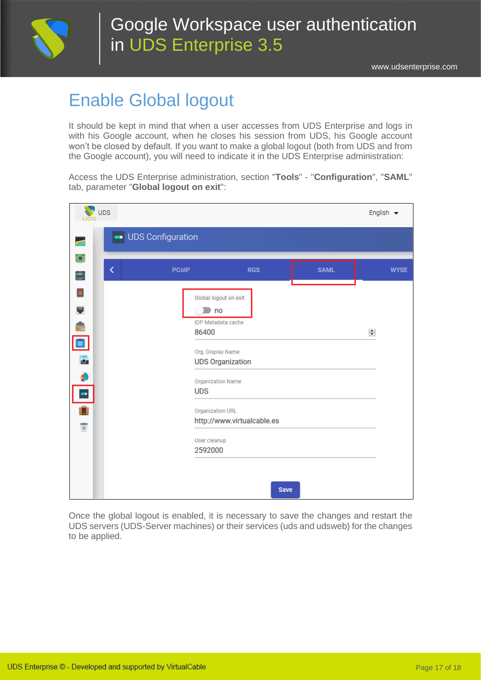

## <span id="page-16-0"></span>Enable Global logout

It should be kept in mind that when a user accesses from UDS Enterprise and logs in with his Google account, when he closes his session from UDS, his Google account won't be closed by default. If you want to make a global logout (both from UDS and from the Google account), you will need to indicate it in the UDS Enterprise administration:

Access the UDS Enterprise administration, section "**Tools**" - "**Configuration**", "**SAML**" tab, parameter "**Global logout on exit**":

| $\sum$ UDS                                                                                                        |                   |                                                                                                                                                                                                                                   |             |             | English $\blacktriangleright$ |             |
|-------------------------------------------------------------------------------------------------------------------|-------------------|-----------------------------------------------------------------------------------------------------------------------------------------------------------------------------------------------------------------------------------|-------------|-------------|-------------------------------|-------------|
|                                                                                                                   | UDS Configuration |                                                                                                                                                                                                                                   |             |             |                               |             |
| ď.<br>K<br>Ó                                                                                                      | <b>PCoIP</b>      | <b>RGS</b>                                                                                                                                                                                                                        |             | <b>SAML</b> |                               | <b>WYSE</b> |
| ы<br>W<br>$\frac{1}{16}$<br>$\begin{array}{c} \bullet \\ \bullet \end{array}$<br><b>IST</b><br>$\overline{\circ}$ |                   | Global logout on exit<br>$\Box$ no<br>IDP Metadata cache<br>86400<br>Org. Display Name<br><b>UDS Organization</b><br>Organization Name<br><b>UDS</b><br>Organization URL<br>http://www.virtualcable.es<br>User cleanup<br>2592000 |             |             | $\div$                        |             |
|                                                                                                                   |                   |                                                                                                                                                                                                                                   | <b>Save</b> |             |                               |             |

Once the global logout is enabled, it is necessary to save the changes and restart the UDS servers (UDS-Server machines) or their services (uds and udsweb) for the changes to be applied.